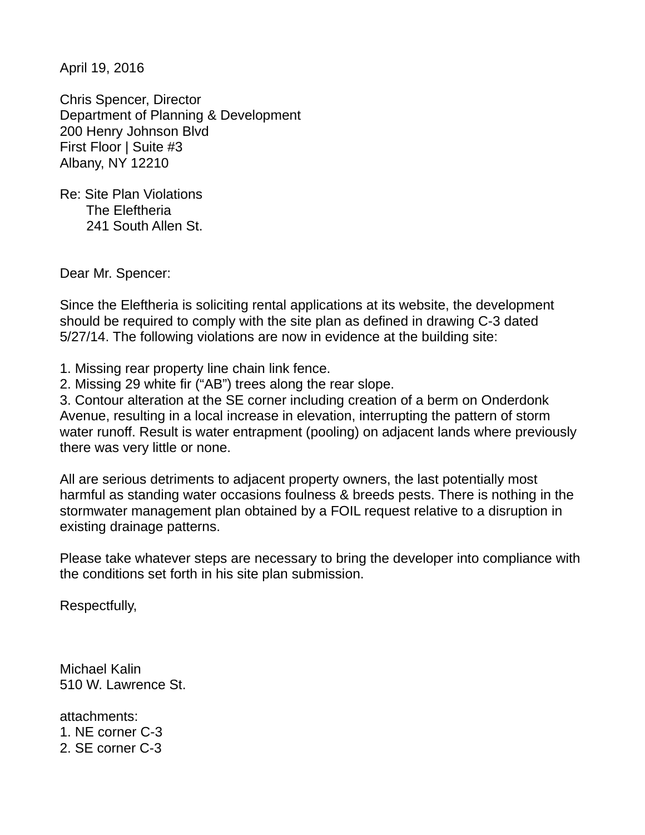April 19, 2016

Chris Spencer, Director Department of Planning & Development 200 Henry Johnson Blvd First Floor | Suite #3 Albany, NY 12210

Re: Site Plan Violations The Eleftheria 241 South Allen St.

Dear Mr. Spencer:

Since the Eleftheria is soliciting rental applications at its website, the development should be required to comply with the site plan as defined in drawing C-3 dated 5/27/14. The following violations are now in evidence at the building site:

1. Missing rear property line chain link fence.

2. Missing 29 white fir ("AB") trees along the rear slope.

3. Contour alteration at the SE corner including creation of a berm on Onderdonk Avenue, resulting in a local increase in elevation, interrupting the pattern of storm water runoff. Result is water entrapment (pooling) on adjacent lands where previously there was very little or none.

All are serious detriments to adjacent property owners, the last potentially most harmful as standing water occasions foulness & breeds pests. There is nothing in the stormwater management plan obtained by a FOIL request relative to a disruption in existing drainage patterns.

Please take whatever steps are necessary to bring the developer into compliance with the conditions set forth in his site plan submission.

Respectfully,

Michael Kalin 510 W. Lawrence St.

attachments: 1. NE corner C-3 2. SE corner C-3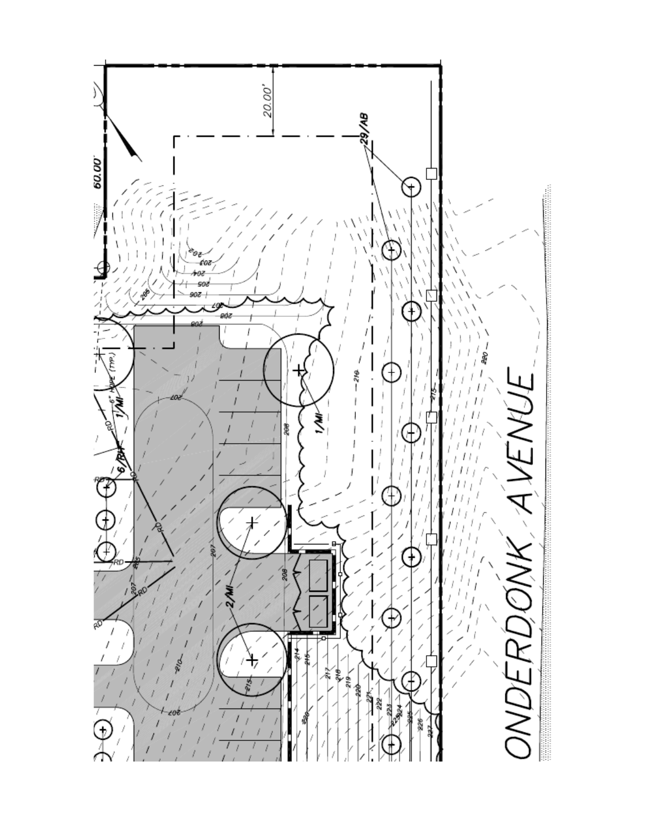